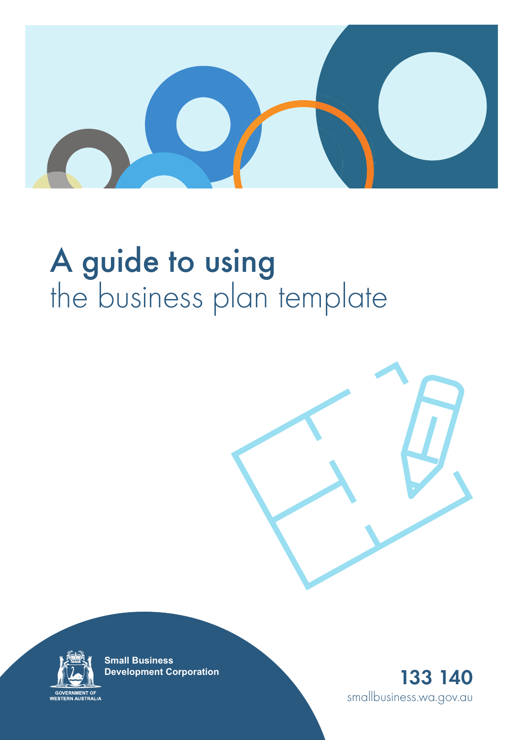

# A guide to using the business plan template





**Small Business Development Corporation**

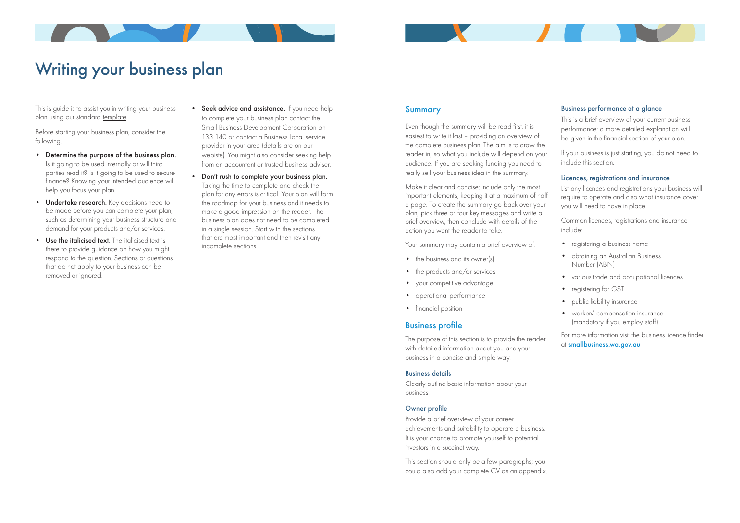

# Writing your business plan

This is guide is to assist you in writing your business plan using our standard template.

Before starting your business plan, consider the following.

- Determine the purpose of the business plan. Is it going to be used internally or will third parties read it? Is it going to be used to secure finance? Knowing your intended audience will help you focus your plan.
- Undertake research. Key decisions need to be made before you can complete your plan, such as determining your business structure and demand for your products and/or services.
- Use the italicised text. The italicised text is there to provide guidance on how you might respond to the question. Sections or questions that do not apply to your business can be removed or ignored.

# Summary

Even though the summary will be read first, it is easiest to write it last – providing an overview of the complete business plan. The aim is to draw the reader in, so what you include will depend on your audience. If you are seeking funding you need to really sell your business idea in the summary.

Make it clear and concise; include only the most important elements, keeping it at a maximum of half a page. To create the summary go back over your plan, pick three or four key messages and write a brief overview, then conclude with details of the action you want the reader to take.

- Seek advice and assistance. If you need help to complete your business plan contact the Small Business Development Corporation on 133 140 or contact a Business Local service provider in your area (details are on our webiste). You might also consider seeking help from an accountant or trusted business adviser.
- Don't rush to complete your business plan. Taking the time to complete and check the plan for any errors is critical. Your plan will form the roadmap for your business and it needs to make a good impression on the reader. The business plan does not need to be completed in a single session. Start with the sections that are most important and then revisit any incomplete sections.

Your summary may contain a brief overview of:

- the business and its owner(s)
- the products and/or services
- your competitive advantage
- operational performance
- financial position

### Business profile

The purpose of this section is to provide the reader with detailed information about you and your business in a concise and simple way.

#### Business details

- registering a business name
- obtaining an Australian Business Number (ABN)
- various trade and occupational licences
- registering for GST
- public liability insurance
- workers' compensation insurance (mandatory if you employ staff)

Clearly outline basic information about your business.

#### Owner profile

Provide a brief overview of your career achievements and suitability to operate a business. It is your chance to promote yourself to potential investors in a succinct way.

This section should only be a few paragraphs; you could also add your complete CV as an appendix.

#### Business performance at a glance

This is a brief overview of your current business performance; a more detailed explanation will be given in the financial section of your plan.

If your business is just starting, you do not need to include this section.

#### Licences, registrations and insurance

List any licences and registrations your business will require to operate and also what insurance cover you will need to have in place.

Common licences, registrations and insurance include:

For more information visit the business licence finder at smallbusiness.wa.gov.au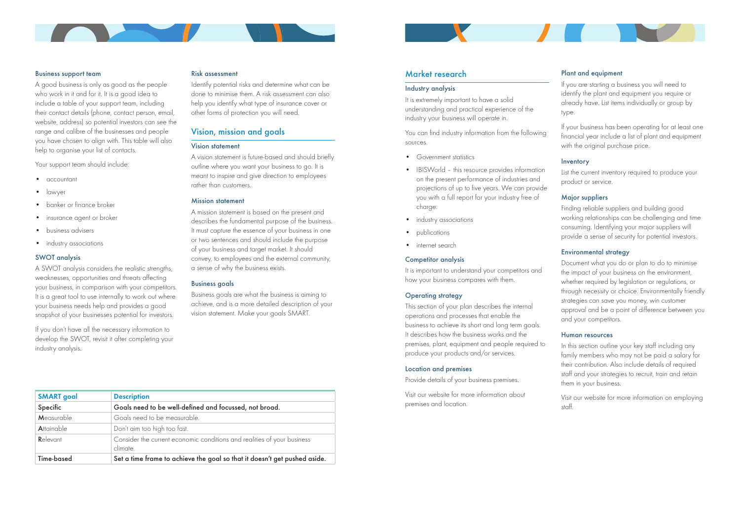

#### Business support team

A good business is only as good as the people who work in it and for it. It is a good idea to include a table of your support team, including their contact details (phone, contact person, email, website, address) so potential investors can see the range and calibre of the businesses and people you have chosen to align with. This table will also help to organise your list of contacts.

Your support team should include:

- accountant
- lawyer
- banker or finance broker
- insurance agent or broker
- business advisers
- industry associations

A SWOT analysis considers the realistic strengths, weaknesses, opportunities and threats affecting your business, in comparison with your competitors. It is a great tool to use internally to work out where your business needs help and provides a good snapshot of your businesses potential for investors.

#### SWOT analysis

If you don't have all the necessary information to develop the SWOT, revisit it after completing your industry analysis.

#### Risk assessment

Identify potential risks and determine what can be done to minimise them. A risk assessment can also help you identify what type of insurance cover or other forms of protection you will need.

# Vision, mission and goals

#### Vision statement

A vision statement is future-based and should briefly outline where you want your business to go. It is meant to inspire and give direction to employees rather than customers.

#### Mission statement

A mission statement is based on the present and describes the fundamental purpose of the business. It must capture the essence of your business in one or two sentences and should include the purpose of your business and target market. It should convey, to employees and the external community, a sense of why the business exists.

#### Business goals

Business goals are what the business is aiming to achieve, and is a more detailed description of your vision statement. Make your goals SMART.

| <b>SMART</b> goal | <b>Description</b>                                                                  |
|-------------------|-------------------------------------------------------------------------------------|
| Specific          | Goals need to be well-defined and focussed, not broad.                              |
| Measurable        | Goals need to be measurable.                                                        |
| <b>Attainable</b> | Don't aim too high too fast.                                                        |
| Relevant          | Consider the current economic conditions and realities of your business<br>climate. |
| Time-based        | Set a time frame to achieve the goal so that it doesn't get pushed aside.           |

#### Market research

#### Industry analysis

It is extremely important to have a solid understanding and practical experience of the industry your business will operate in.

You can find industry information from the following sources.

- Government statistics
- IBISWorld this resource provides information on the present performance of industries and projections of up to five years. We can provide you with a full report for your industry free of charge.
- industry associations
- publications
- internet search

#### Competitor analysis

It is important to understand your competitors and how your business compares with them.

#### Operating strategy

This section of your plan describes the internal operations and processes that enable the business to achieve its short and long term goals. It describes how the business works and the premises, plant, equipment and people required to produce your products and/or services.

#### Location and premises

Provide details of your business premises.

Visit our website for more information about premises and location.

#### Plant and equipment

If you are starting a business you will need to identify the plant and equipment you require or already have. List items individually or group by type.

If your business has been operating for at least one financial year include a list of plant and equipment with the original purchase price.

#### Inventory

List the current inventory required to produce your product or service.

#### Major suppliers

Finding reliable suppliers and building good working relationships can be challenging and time consuming. Identifying your major suppliers will provide a sense of security for potential investors.

#### Environmental strategy

Document what you do or plan to do to minimise the impact of your business on the environment, whether required by legislation or regulations, or through necessity or choice. Environmentally friendly strategies can save you money, win customer approval and be a point of difference between you and your competitors.

#### Human resources

In this section outline your key staff including any family members who may not be paid a salary for their contribution. Also include details of required staff and your strategies to recruit, train and retain them in your business.

Visit our website for more information on employing staff.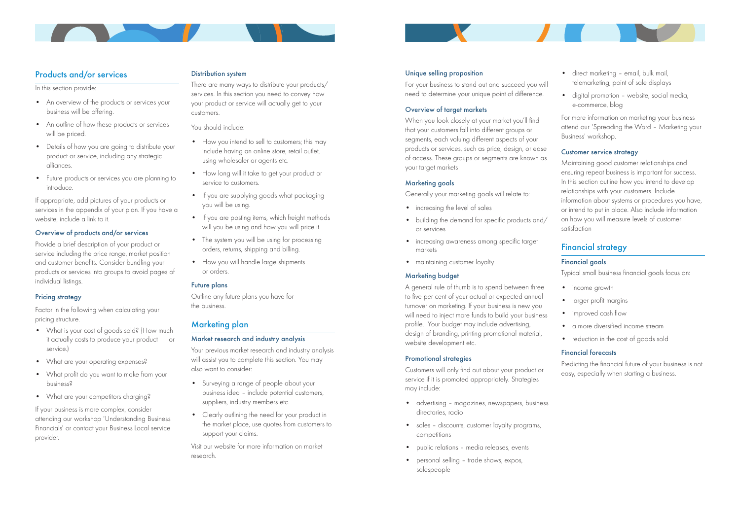

# Products and/or services

In this section provide:

- An overview of the products or services your business will be offering.
- An outline of how these products or services will be priced.
- Details of how you are going to distribute your product or service, including any strategic alliances.
- Future products or services you are planning to introduce.

Factor in the following when calculating your pricing structure.

- What is your cost of goods sold? (How much it actually costs to produce your product or service.)
- What are your operating expenses?
- What profit do you want to make from your business?
- What are your competitors charging?

If appropriate, add pictures of your products or services in the appendix of your plan. If you have a website, include a link to it.

#### Overview of products and/or services

Provide a brief description of your product or service including the price range, market position and customer benefits. Consider bundling your products or services into groups to avoid pages of individual listings.

#### Pricing strategy

- How you intend to sell to customers; this may include having an online store, retail outlet, using wholesaler or agents etc.
- How long will it take to get your product or service to customers.
- If you are supplying goods what packaging you will be using.
- If you are posting items, which freight methods will you be using and how you will price it.
- The system you will be using for processing orders, returns, shipping and billing.
- How you will handle large shipments or orders.

If your business is more complex, consider attending our workshop 'Understanding Business Financials' or contact your Business Local service provider.

#### Distribution system

There are many ways to distribute your products/ services. In this section you need to convey how your product or service will actually get to your customers.

You should include:

When you look closely at your market you'll find that your customers fall into different groups or segments, each valuing different aspects of your products or services, such as price, design, or ease of access. These groups or segments are known as your target markets

#### Future plans

Outline any future plans you have for the business.

# Marketing plan

- direct marketing email, bulk mail, telemarketing, point of sale displays
- digital promotion website, social media, e-commerce, blog

#### Market research and industry analysis

Your previous market research and industry analysis will assist you to complete this section. You may also want to consider:

- Surveying a range of people about your business idea – include potential customers, suppliers, industry members etc.
- Clearly outlining the need for your product in the market place, use quotes from customers to support your claims.
- income growth
- larger profit margins
- improved cash flow
- a more diversified income stream
- reduction in the cost of goods sold

Visit our website for more information on market research.

#### Unique selling proposition

For your business to stand out and succeed you will need to determine your unique point of difference.

#### Overview of target markets

#### Marketing goals

Generally your marketing goals will relate to:

- increasing the level of sales
- building the demand for specific products and/ or services
- increasing awareness among specific target markets
- maintaining customer loyalty

#### Marketing budget

A general rule of thumb is to spend between three to five per cent of your actual or expected annual turnover on marketing. If your business is new you will need to inject more funds to build your business profile. Your budget may include advertising, design of branding, printing promotional material, website development etc.

#### Promotional strategies

Customers will only find out about your product or service if it is promoted appropriately. Strategies may include:

- advertising magazines, newspapers, business directories, radio
- sales discounts, customer loyalty programs, competitions
- public relations media releases, events
- personal selling trade shows, expos, salespeople

For more information on marketing your business attend our 'Spreading the Word – Marketing your Business' workshop.

#### Customer service strategy

Maintaining good customer relationships and ensuring repeat business is important for success. In this section outline how you intend to develop relationships with your customers. Include information about systems or procedures you have, or intend to put in place. Also include information on how you will measure levels of customer satisfaction

# Financial strategy

#### Financial goals

Typical small business financial goals focus on:

#### Financial forecasts

Predicting the financial future of your business is not easy, especially when starting a business.